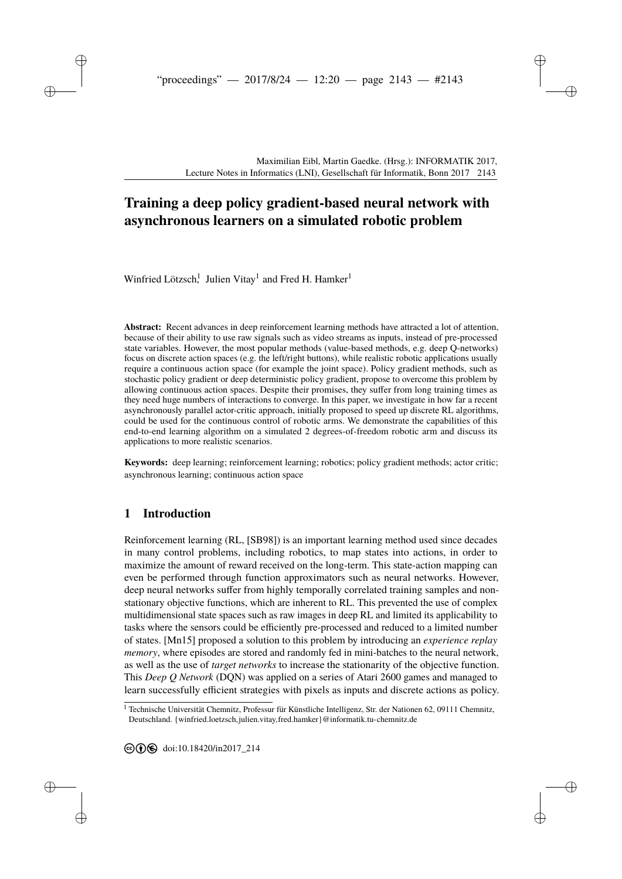# **[T](#page--1-0)raining a deep policy gradient-based neural network with asynchronous learners on a simulated robotic problem**

Winfried Lötzsch! Julien Vitay<sup>1</sup> and Fred H. Hamker<sup>1</sup>

**Abstract:** Recent advances in deep reinforcement learning methods have attracted a lot of attention, because of their ability to use raw signals such as video streams as inputs, instead of pre-processed state variables. However, the most popular methods (value-based methods, e.g. deep Q-networks) focus on discrete action spaces (e.g. the left/right buttons), while realistic robotic applications usually require a continuous action space (for example the joint space). Policy gradient methods, such as stochastic policy gradient or deep deterministic policy gradient, propose to overcome this problem by allowing continuous action spaces. Despite their promises, they suffer from long training times as they need huge numbers of interactions to converge. In this paper, we investigate in how far a recent asynchronously parallel actor-critic approach, initially proposed to speed up discrete RL algorithms, could be used for the continuous control of robotic arms. We demonstrate the capabilities of this end-to-end learning algorithm on a simulated 2 degrees-of-freedom robotic arm and discuss its applications to more realistic scenarios.

**Keywords:** deep learning; reinforcement learning; robotics; policy gradient methods; actor critic; asynchronous learning; continuous action space

# **1 Introduction**

Reinforcement learning (RL, [\[SB98\]](#page-11-0)) is an important learning method used since decades in many control problems, including robotics, to map states into actions, in order to maximize the amount of reward received on the long-term. This state-action mapping can even be performed through function approximators such as neural networks. However, deep neural networks suffer from highly temporally correlated training samples and nonstationary objective functions, which are inherent to RL. This prevented the use of complex multidimensional state spaces such as raw images in deep RL and limited its applicability to tasks where the sensors could be efficiently pre-processed and reduced to a limited number of states. [\[Mn15\]](#page-11-1) proposed a solution to this problem by introducing an *experience replay memory*, where episodes are stored and randomly fed in mini-batches to the neural network, as well as the use of *target networks* to increase the stationarity of the objective function. This *Deep Q Network* (DQN) was applied on a series of Atari 2600 games and managed to learn successfully efficient strategies with pixels as inputs and discrete actions as policy.

<sup>&</sup>lt;sup>1</sup> Technische Universität Chemnitz, Professur für Künstliche Intelligenz, Str. der Nationen 62, 09111 Chemnitz, Deutschland. [{winfried.loetzsch,julien.vitay,fred.hamker}@informatik.tu-chemnitz.de]({winfried.loetzsch, julien.vitay, fred.hamker}@informatik.tu-chemnitz.de)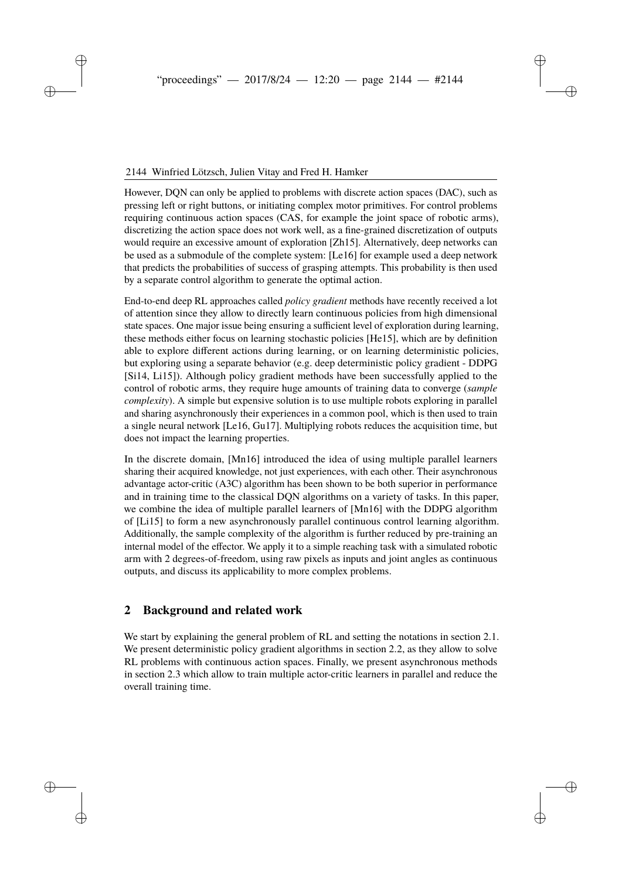## 2144 Winfried Lötzsch, Julien Vitay and Fred H. Hamker

However, DQN can only be applied to problems with discrete action spaces (DAC), such as pressing left or right buttons, or initiating complex motor primitives. For control problems requiring continuous action spaces (CAS, for example the joint space of robotic arms), discretizing the action space does not work well, as a fine-grained discretization of outputs would require an excessive amount of exploration [\[Zh15\]](#page-11-2). Alternatively, deep networks can be used as a submodule of the complete system: [\[Le16\]](#page-11-3) for example used a deep network that predicts the probabilities of success of grasping attempts. This probability is then used by a separate control algorithm to generate the optimal action.

End-to-end deep RL approaches called *policy gradient* methods have recently received a lot of attention since they allow to directly learn continuous policies from high dimensional state spaces. One major issue being ensuring a sufficient level of exploration during learning, these methods either focus on learning stochastic policies [\[He15\]](#page-11-4), which are by definition able to explore different actions during learning, or on learning deterministic policies, but exploring using a separate behavior (e.g. deep deterministic policy gradient - DDPG [\[Si14,](#page-11-5) [Li15\]](#page-11-6)). Although policy gradient methods have been successfully applied to the control of robotic arms, they require huge amounts of training data to converge (*sample complexity*). A simple but expensive solution is to use multiple robots exploring in parallel and sharing asynchronously their experiences in a common pool, which is then used to train a single neural network [\[Le16,](#page-11-3) [Gu17\]](#page-11-7). Multiplying robots reduces the acquisition time, but does not impact the learning properties.

In the discrete domain, [\[Mn16\]](#page-11-8) introduced the idea of using multiple parallel learners sharing their acquired knowledge, not just experiences, with each other. Their asynchronous advantage actor-critic (A3C) algorithm has been shown to be both superior in performance and in training time to the classical DQN algorithms on a variety of tasks. In this paper, we combine the idea of multiple parallel learners of [\[Mn16\]](#page-11-8) with the DDPG algorithm of [\[Li15\]](#page-11-6) to form a new asynchronously parallel continuous control learning algorithm. Additionally, the sample complexity of the algorithm is further reduced by pre-training an internal model of the effector. We apply it to a simple reaching task with a simulated robotic arm with 2 degrees-of-freedom, using raw pixels as inputs and joint angles as continuous outputs, and discuss its applicability to more complex problems.

# **2 Background and related work**

We start by explaining the general problem of RL and setting the notations in section [2.1.](#page-2-0) We present deterministic policy gradient algorithms in section [2.2,](#page-2-1) as they allow to solve RL problems with continuous action spaces. Finally, we present asynchronous methods in section [2.3](#page-3-0) which allow to train multiple actor-critic learners in parallel and reduce the overall training time.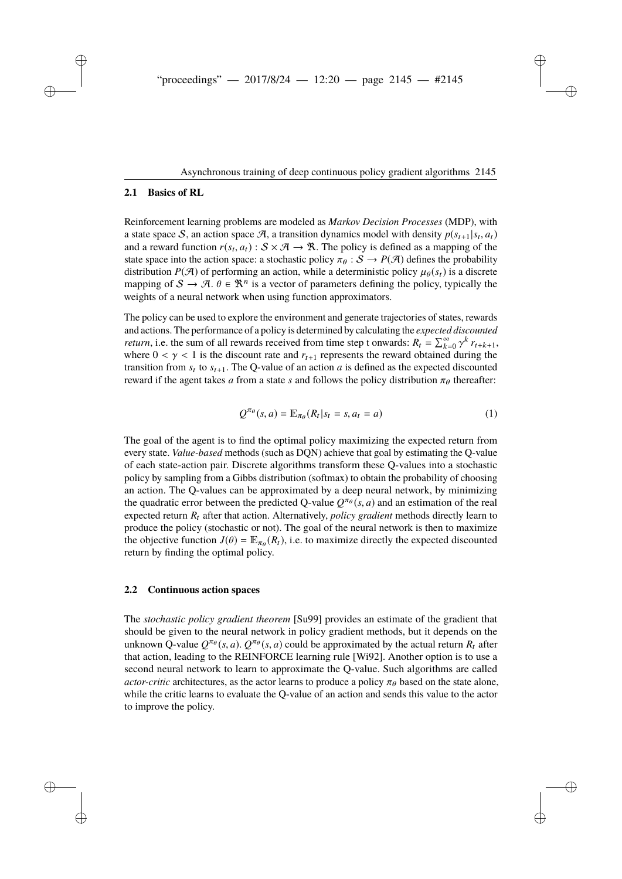### <span id="page-2-0"></span>**2.1 Basics of RL**

Reinforcement learning problems are modeled as *Markov Decision Processes* (MDP), with a state space S, an action space A, a transition dynamics model with density  $p(s_{t+1}|s_t, a_t)$ and a reward function  $r(s_t, a_t)$ :  $S \times \mathcal{A} \rightarrow \mathcal{R}$ . The policy is defined as a mapping of the state space into the action space: a stochastic policy  $\pi_{\theta}: S \to P(\mathcal{A})$  defines the probability distribution  $P(\mathcal{A})$  of performing an action, while a deterministic policy  $\mu_\theta(s_t)$  is a discrete mapping of  $S \to \mathcal{A}$ .  $\theta \in \mathbb{R}^n$  is a vector of parameters defining the policy, typically the weights of a neural network when using function approximators.

The policy can be used to explore the environment and generate trajectories of states, rewards and actions. The performance of a policy is determined by calculating the *expected discounted return*, i.e. the sum of all rewards received from time step t onwards:  $R_t = \sum_{k=0}^{\infty} \gamma^k r_{t+k+1}$ , where  $0 < \gamma < 1$  is the discount rate and  $r_{t+1}$  represents the reward obtained during the transition from  $s_t$  to  $s_{t+1}$ . The Q-value of an action *a* is defined as the expected discounted reward if the agent takes *a* from a state *s* and follows the policy distribution  $\pi_{\theta}$  thereafter:

$$
Q^{\pi_{\theta}}(s, a) = \mathbb{E}_{\pi_{\theta}}(R_t | s_t = s, a_t = a)
$$
\n(1)

The goal of the agent is to find the optimal policy maximizing the expected return from every state. *Value-based* methods (such as DQN) achieve that goal by estimating the Q-value of each state-action pair. Discrete algorithms transform these Q-values into a stochastic policy by sampling from a Gibbs distribution (softmax) to obtain the probability of choosing an action. The Q-values can be approximated by a deep neural network, by minimizing the quadratic error between the predicted Q-value  $Q^{\pi_{\theta}}(s, a)$  and an estimation of the real expected return  $R_t$  after that action. Alternatively, *policy gradient* methods directly learn to produce the policy (stochastic or not). The goal of the neural network is then to maximize the objective function  $J(\theta) = \mathbb{E}_{\pi_{\theta}}(R_t)$ , i.e. to maximize directly the expected discounted return by finding the optimal policy.

#### <span id="page-2-1"></span>**2.2 Continuous action spaces**

The *stochastic policy gradient theorem* [\[Su99\]](#page-11-9) provides an estimate of the gradient that should be given to the neural network in policy gradient methods, but it depends on the unknown Q-value  $Q^{\pi_{\theta}}(s, a)$ .  $Q^{\pi_{\theta}}(s, a)$  could be approximated by the actual return  $R_t$  after that action, leading to the REINFORCE learning rule [\[Wi92\]](#page-11-10). Another option is to use a second neural network to learn to approximate the Q-value. Such algorithms are called *actor-critic* architectures, as the actor learns to produce a policy  $\pi_{\theta}$  based on the state alone, while the critic learns to evaluate the Q-value of an action and sends this value to the actor to improve the policy.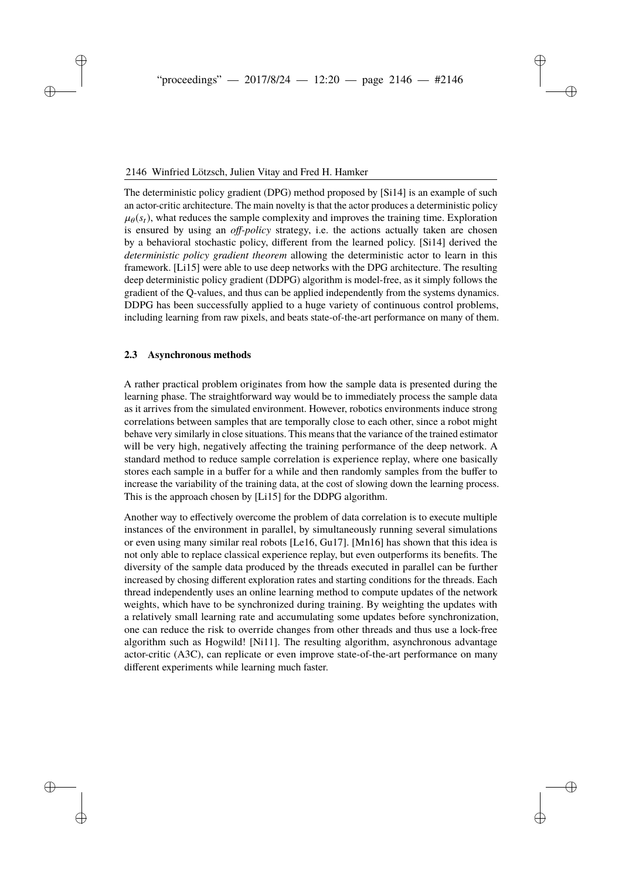The deterministic policy gradient (DPG) method proposed by [\[Si14\]](#page-11-5) is an example of such an actor-critic architecture. The main novelty is that the actor produces a deterministic policy  $\mu_{\theta}(s_t)$ , what reduces the sample complexity and improves the training time. Exploration is ensured by using an *off-policy* strategy, i.e. the actions actually taken are chosen by a behavioral stochastic policy, different from the learned policy. [\[Si14\]](#page-11-5) derived the *deterministic policy gradient theorem* allowing the deterministic actor to learn in this framework. [\[Li15\]](#page-11-6) were able to use deep networks with the DPG architecture. The resulting deep deterministic policy gradient (DDPG) algorithm is model-free, as it simply follows the gradient of the Q-values, and thus can be applied independently from the systems dynamics. DDPG has been successfully applied to a huge variety of continuous control problems, including learning from raw pixels, and beats state-of-the-art performance on many of them.

### <span id="page-3-0"></span>**2.3 Asynchronous methods**

A rather practical problem originates from how the sample data is presented during the learning phase. The straightforward way would be to immediately process the sample data as it arrives from the simulated environment. However, robotics environments induce strong correlations between samples that are temporally close to each other, since a robot might behave very similarly in close situations. This means that the variance of the trained estimator will be very high, negatively affecting the training performance of the deep network. A standard method to reduce sample correlation is experience replay, where one basically stores each sample in a buffer for a while and then randomly samples from the buffer to increase the variability of the training data, at the cost of slowing down the learning process. This is the approach chosen by [\[Li15\]](#page-11-6) for the DDPG algorithm.

Another way to effectively overcome the problem of data correlation is to execute multiple instances of the environment in parallel, by simultaneously running several simulations or even using many similar real robots [\[Le16,](#page-11-3) [Gu17\]](#page-11-7). [\[Mn16\]](#page-11-8) has shown that this idea is not only able to replace classical experience replay, but even outperforms its benefits. The diversity of the sample data produced by the threads executed in parallel can be further increased by chosing different exploration rates and starting conditions for the threads. Each thread independently uses an online learning method to compute updates of the network weights, which have to be synchronized during training. By weighting the updates with a relatively small learning rate and accumulating some updates before synchronization, one can reduce the risk to override changes from other threads and thus use a lock-free algorithm such as Hogwild! [\[Ni11\]](#page-11-11). The resulting algorithm, asynchronous advantage actor-critic (A3C), can replicate or even improve state-of-the-art performance on many different experiments while learning much faster.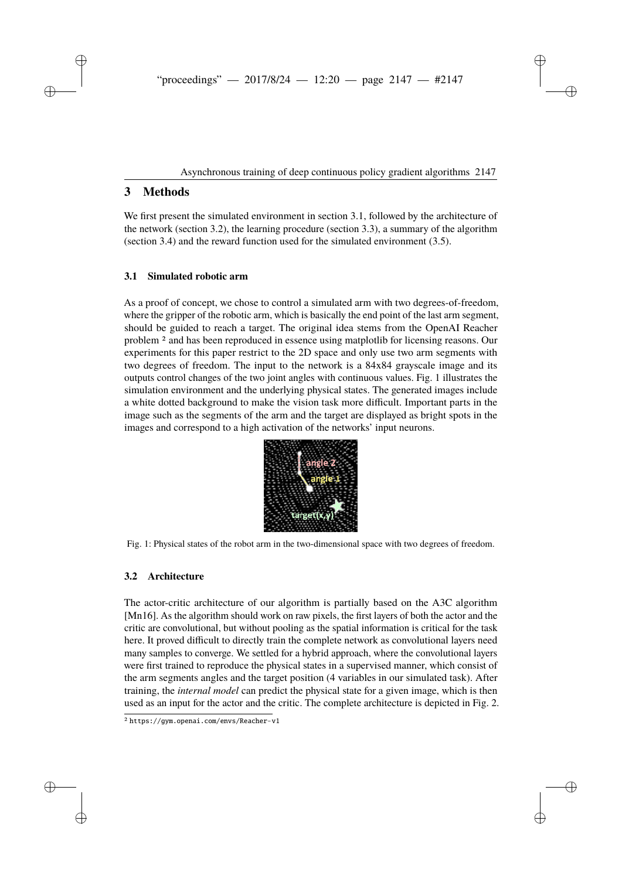# **3 Methods**

We first present the simulated environment in section [3.1,](#page-4-0) followed by the architecture of the network (section [3.2\)](#page-4-1), the learning procedure (section [3.3\)](#page-6-0), a summary of the algorithm (section [3.4\)](#page-7-0) and the reward function used for the simulated environment [\(3.5\)](#page-7-1).

# <span id="page-4-0"></span>**3.1 Simulated robotic arm**

As a proof of concept, we chose to control a simulated arm with two degrees-of-freedom, where the gripper of the robotic arm, which is basically the end point of the last arm segment, should be guided to reach a target. The original idea stems from the OpenAI Reacher problem [2](#page-4-2) and has been reproduced in essence using matplotlib for licensing reasons. Our experiments for this paper restrict to the 2D space and only use two arm segments with two degrees of freedom. The input to the network is a 84x84 grayscale image and its outputs control changes of the two joint angles with continuous values. Fig. [1](#page-4-3) illustrates the simulation environment and the underlying physical states. The generated images include a white dotted background to make the vision task more difficult. Important parts in the image such as the segments of the arm and the target are displayed as bright spots in the images and correspond to a high activation of the networks' input neurons.



<span id="page-4-3"></span>Fig. 1: Physical states of the robot arm in the two-dimensional space with two degrees of freedom.

# <span id="page-4-1"></span>**3.2 Architecture**

The actor-critic architecture of our algorithm is partially based on the A3C algorithm [\[Mn16\]](#page-11-8). As the algorithm should work on raw pixels, the first layers of both the actor and the critic are convolutional, but without pooling as the spatial information is critical for the task here. It proved difficult to directly train the complete network as convolutional layers need many samples to converge. We settled for a hybrid approach, where the convolutional layers were first trained to reproduce the physical states in a supervised manner, which consist of the arm segments angles and the target position (4 variables in our simulated task). After training, the *internal model* can predict the physical state for a given image, which is then used as an input for the actor and the critic. The complete architecture is depicted in Fig. [2.](#page-5-0)

<span id="page-4-2"></span><sup>2</sup> <https://gym.openai.com/envs/Reacher-v1>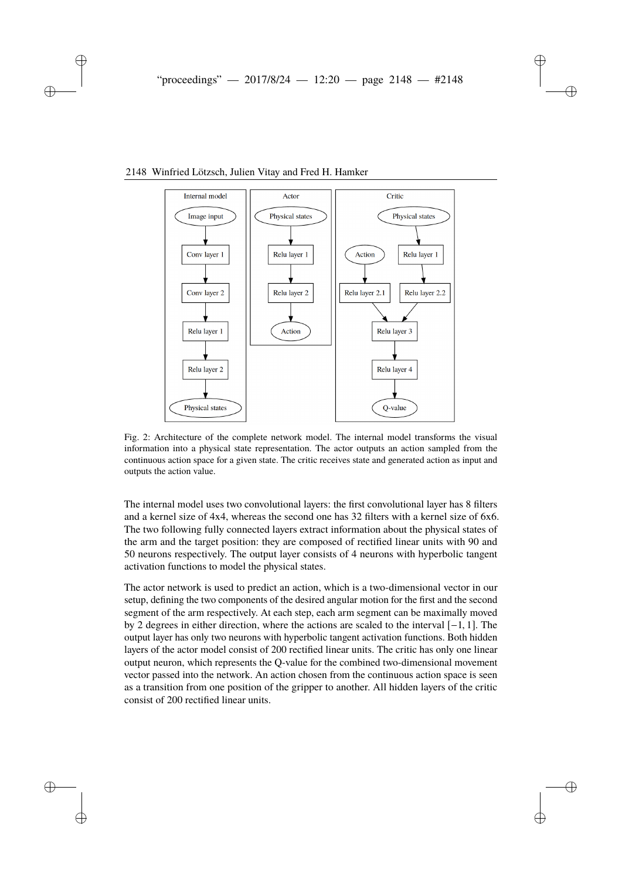

### <span id="page-5-0"></span>2148 Winfried Lötzsch, Julien Vitay and Fred H. Hamker

Fig. 2: Architecture of the complete network model. The internal model transforms the visual information into a physical state representation. The actor outputs an action sampled from the continuous action space for a given state. The critic receives state and generated action as input and outputs the action value.

The internal model uses two convolutional layers: the first convolutional layer has 8 filters and a kernel size of 4x4, whereas the second one has 32 filters with a kernel size of 6x6. The two following fully connected layers extract information about the physical states of the arm and the target position: they are composed of rectified linear units with 90 and 50 neurons respectively. The output layer consists of 4 neurons with hyperbolic tangent activation functions to model the physical states.

The actor network is used to predict an action, which is a two-dimensional vector in our setup, defining the two components of the desired angular motion for the first and the second segment of the arm respectively. At each step, each arm segment can be maximally moved by 2 degrees in either direction, where the actions are scaled to the interval [−1, 1]. The output layer has only two neurons with hyperbolic tangent activation functions. Both hidden layers of the actor model consist of 200 rectified linear units. The critic has only one linear output neuron, which represents the Q-value for the combined two-dimensional movement vector passed into the network. An action chosen from the continuous action space is seen as a transition from one position of the gripper to another. All hidden layers of the critic consist of 200 rectified linear units.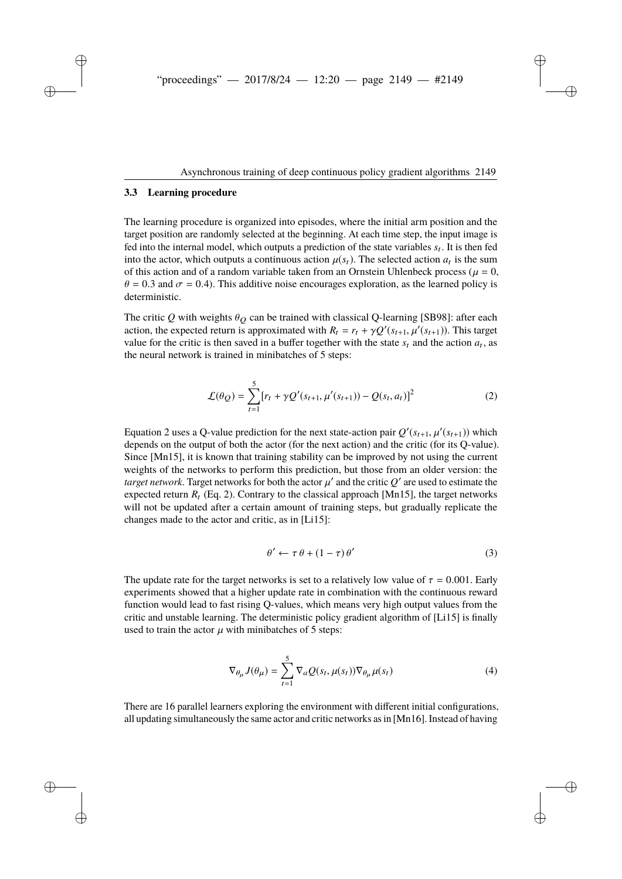#### <span id="page-6-0"></span>**3.3 Learning procedure**

The learning procedure is organized into episodes, where the initial arm position and the target position are randomly selected at the beginning. At each time step, the input image is fed into the internal model, which outputs a prediction of the state variables  $s_t$ . It is then fed into the actor, which outputs a continuous action  $\mu(s_t)$ . The selected action  $a_t$  is the sum of this action and of a random variable taken from an Ornstein Uhlenbeck process ( $\mu = 0$ ,  $\theta = 0.3$  and  $\sigma = 0.4$ ). This additive noise encourages exploration, as the learned policy is deterministic.

The critic  $Q$  with weights  $\theta_Q$  can be trained with classical Q-learning [\[SB98\]](#page-11-0): after each action, the expected return is approximated with  $R_t = r_t + \gamma Q'(s_{t+1}, \mu'(s_{t+1}))$ . This target value for the critic is then saved in a buffer together with the state  $s_t$  and the action  $a_t$ , as the neural network is trained in minibatches of 5 steps:

<span id="page-6-1"></span>
$$
\mathcal{L}(\theta_Q) = \sum_{t=1}^{5} [r_t + \gamma Q'(s_{t+1}, \mu'(s_{t+1})) - Q(s_t, a_t)]^2
$$
 (2)

Equation [2](#page-6-1) uses a Q-value prediction for the next state-action pair  $Q'(s_{t+1}, \mu'(s_{t+1}))$  which depends on the output of both the actor (for the next action) and the critic (for its Q-value). Since [\[Mn15\]](#page-11-1), it is known that training stability can be improved by not using the current weights of the networks to perform this prediction, but those from an older version: the *target network*. Target networks for both the actor  $\mu'$  and the critic  $Q'$  are used to estimate the expected return  $R_t$  (Eq. [2\)](#page-6-1). Contrary to the classical approach [\[Mn15\]](#page-11-1), the target networks will not be updated after a certain amount of training steps, but gradually replicate the changes made to the actor and critic, as in [\[Li15\]](#page-11-6):

$$
\theta' \leftarrow \tau \theta + (1 - \tau) \theta'
$$
 (3)

The update rate for the target networks is set to a relatively low value of  $\tau = 0.001$ . Early experiments showed that a higher update rate in combination with the continuous reward function would lead to fast rising Q-values, which means very high output values from the critic and unstable learning. The deterministic policy gradient algorithm of [\[Li15\]](#page-11-6) is finally used to train the actor  $\mu$  with minibatches of 5 steps:

$$
\nabla_{\theta_{\mu}} J(\theta_{\mu}) = \sum_{t=1}^{5} \nabla_a \mathcal{Q}(s_t, \mu(s_t)) \nabla_{\theta_{\mu}} \mu(s_t)
$$
(4)

There are 16 parallel learners exploring the environment with different initial configurations, all updating simultaneously the same actor and critic networks as in [\[Mn16\]](#page-11-8). Instead of having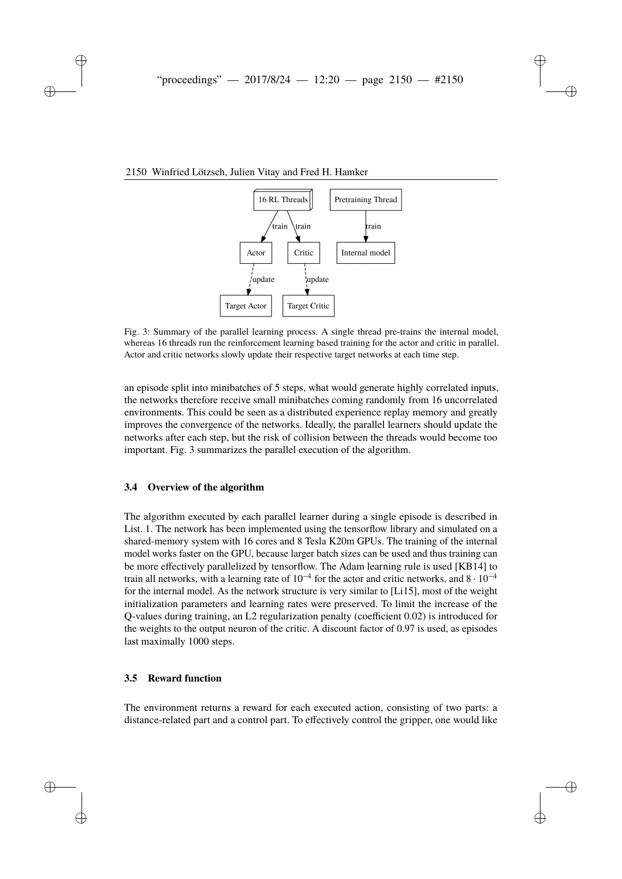## <span id="page-7-2"></span>2150 Winfried Lötzsch, Julien Vitay and Fred H. Hamker



Fig. 3: Summary of the parallel learning process. A single thread pre-trains the internal model, whereas 16 threads run the reinforcement learning based training for the actor and critic in parallel. Actor and critic networks slowly update their respective target networks at each time step.

an episode split into minibatches of 5 steps, what would generate highly correlated inputs, the networks therefore receive small minibatches coming randomly from 16 uncorrelated environments. This could be seen as a distributed experience replay memory and greatly improves the convergence of the networks. Ideally, the parallel learners should update the networks after each step, but the risk of collision between the threads would become too important. Fig. [3](#page-7-2) summarizes the parallel execution of the algorithm.

#### <span id="page-7-0"></span>**3.4 Overview of the algorithm**

The algorithm executed by each parallel learner during a single episode is described in List. [1.](#page-8-0) The network has been implemented using the tensorflow library and simulated on a shared-memory system with 16 cores and 8 Tesla K20m GPUs. The training of the internal model works faster on the GPU, because larger batch sizes can be used and thus training can be more effectively parallelized by tensorflow. The Adam learning rule is used [\[KB14\]](#page-11-12) to train all networks, with a learning rate of  $10^{-4}$  for the actor and critic networks, and  $8 \cdot 10^{-4}$ for the internal model. As the network structure is very similar to [\[Li15\]](#page-11-6), most of the weight initialization parameters and learning rates were preserved. To limit the increase of the Q-values during training, an L2 regularization penalty (coefficient 0.02) is introduced for the weights to the output neuron of the critic. A discount factor of 0.97 is used, as episodes last maximally 1000 steps.

#### <span id="page-7-1"></span>**3.5 Reward function**

The environment returns a reward for each executed action, consisting of two parts: a distance-related part and a control part. To effectively control the gripper, one would like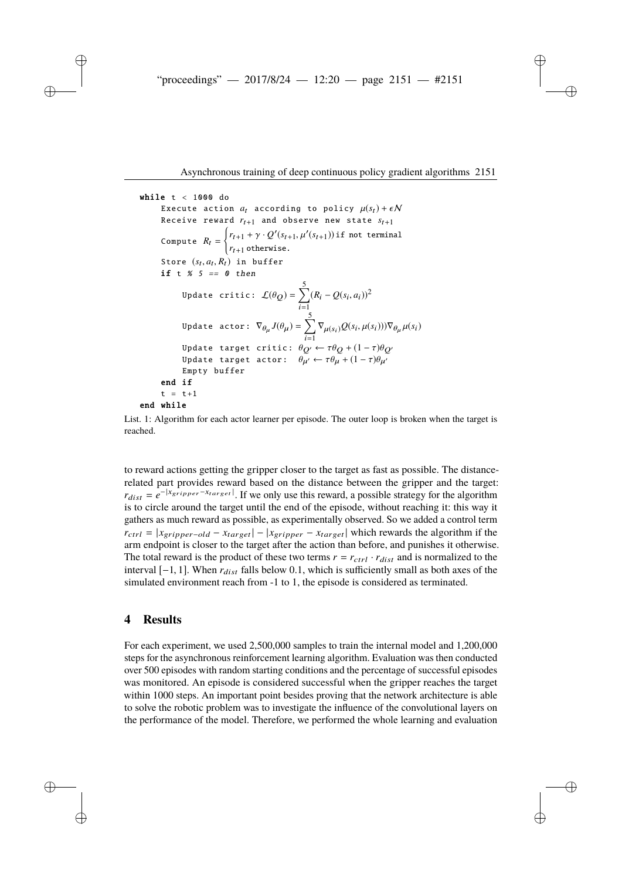```
while t < 1000 do
 Execute action a_t according to policy \mu(s_t) + \epsilon NReceive reward r_{t+1} and observe new state s_{t+1}Compute R_t = \begin{cases} r_{t+1} + \gamma \cdot Q'(s_{t+1}, \mu'(s_{t+1})) & \text{if not terminal} \\ r_{t+1} & \text{otherwise.} \end{cases}Store (s_t, a_t, R_t) in buffer
 if t % 5 == 0 then
         Update critic: \mathcal{L}(\theta_Q) = \sum_{i=1}^5 (R_i - Q(s_i, a_i))^2Update actor: \nabla_{\theta_{\mu}} J(\theta_{\mu}) = \sum_{i=1}^{5} \nabla_{\mu(s_i)} Q(s_i, \mu(s_i)) \nabla_{\theta_{\mu}} \mu(s_i)Update target critic: \theta_{Q'} \leftarrow \tau \theta_Q + (1 - \tau) \theta_{Q'}Update target actor: \theta_{\mu'} \leftarrow \tau \theta_{\mu} + (1 - \tau) \theta_{\mu'}Empty buffer
end if
t = t + 1end while
```
List. 1: Algorithm for each actor learner per episode. The outer loop is broken when the target is reached.

to reward actions getting the gripper closer to the target as fast as possible. The distancerelated part provides reward based on the distance between the gripper and the target:  $r_{dist} = e^{-|x_{gripper} - x_{target}|}$ . If we only use this reward, a possible strategy for the algorithm is to circle around the target until the end of the episode, without reaching it: this way it gathers as much reward as possible, as experimentally observed. So we added a control term  $r_{ctrl} = |x_{gripper-old} - x_{target}| - |x_{gripper} - x_{target}|$  which rewards the algorithm if the arm endpoint is closer to the target after the action than before, and punishes it otherwise. The total reward is the product of these two terms  $r = r_{ctrl} \cdot r_{dist}$  and is normalized to the interval  $[-1, 1]$ . When  $r_{dist}$  falls below 0.1, which is sufficiently small as both axes of the simulated environment reach from -1 to 1, the episode is considered as terminated.

### **4 Results**

For each experiment, we used 2,500,000 samples to train the internal model and 1,200,000 steps for the asynchronous reinforcement learning algorithm. Evaluation was then conducted over 500 episodes with random starting conditions and the percentage of successful episodes was monitored. An episode is considered successful when the gripper reaches the target within 1000 steps. An important point besides proving that the network architecture is able to solve the robotic problem was to investigate the influence of the convolutional layers on the performance of the model. Therefore, we performed the whole learning and evaluation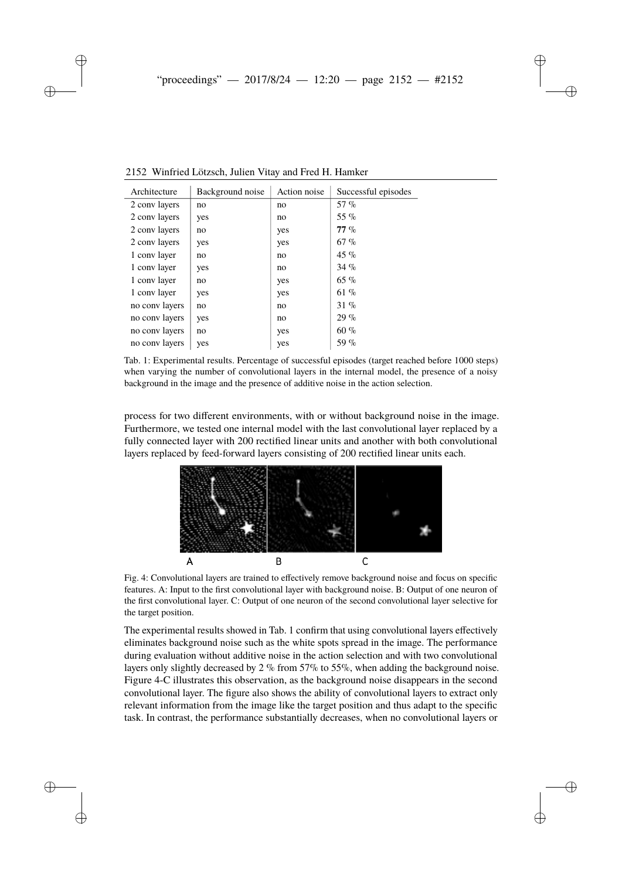<span id="page-9-0"></span>

| Architecture   | Background noise | Action noise | Successful episodes |
|----------------|------------------|--------------|---------------------|
| 2 conv layers  | no               | no           | 57 %                |
| 2 conv layers  | yes              | no           | 55 %                |
| 2 conv layers  | no               | yes          | $77\%$              |
| 2 conv layers  | yes              | yes          | 67%                 |
| 1 conv layer   | no               | no           | 45 %                |
| 1 conv layer   | yes              | no           | 34%                 |
| 1 conv layer   | no               | yes          | $65 \%$             |
| 1 conv layer   | yes              | yes          | 61 %                |
| no conv layers | no               | no           | 31 %                |
| no conv layers | yes              | no           | 29%                 |
| no conv layers | no               | yes          | 60%                 |
| no conv layers | yes              | yes          | 59 %                |

2152 Winfried Lötzsch, Julien Vitay and Fred H. Hamker

Tab. 1: Experimental results. Percentage of successful episodes (target reached before 1000 steps) when varying the number of convolutional layers in the internal model, the presence of a noisy background in the image and the presence of additive noise in the action selection.

<span id="page-9-1"></span>process for two different environments, with or without background noise in the image. Furthermore, we tested one internal model with the last convolutional layer replaced by a fully connected layer with 200 rectified linear units and another with both convolutional layers replaced by feed-forward layers consisting of 200 rectified linear units each.



Fig. 4: Convolutional layers are trained to effectively remove background noise and focus on specific features. A: Input to the first convolutional layer with background noise. B: Output of one neuron of the first convolutional layer. C: Output of one neuron of the second convolutional layer selective for the target position.

The experimental results showed in Tab. [1](#page-9-0) confirm that using convolutional layers effectively eliminates background noise such as the white spots spread in the image. The performance during evaluation without additive noise in the action selection and with two convolutional layers only slightly decreased by  $2\%$  from 57% to 55%, when adding the background noise. Figure [4-](#page-9-1)C illustrates this observation, as the background noise disappears in the second convolutional layer. The figure also shows the ability of convolutional layers to extract only relevant information from the image like the target position and thus adapt to the specific task. In contrast, the performance substantially decreases, when no convolutional layers or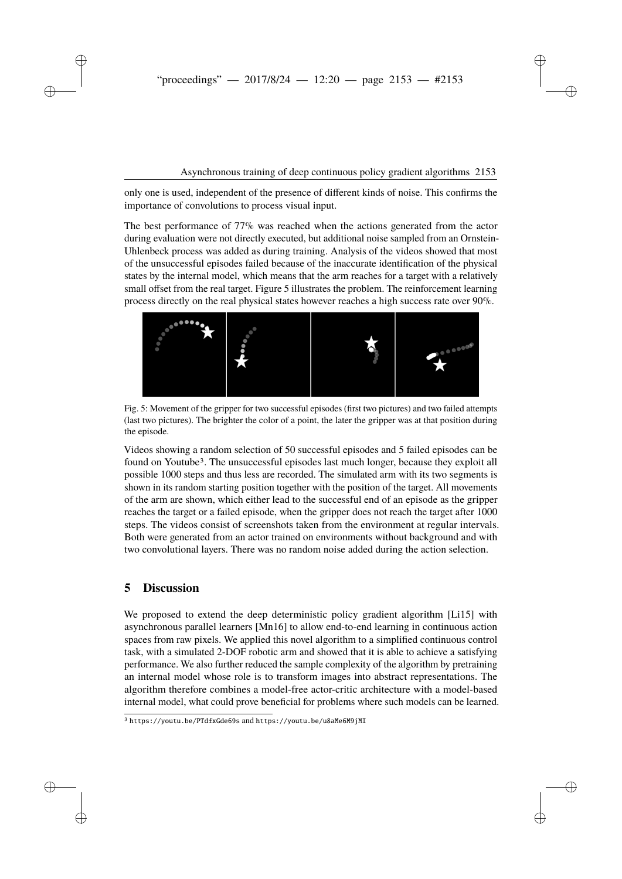only one is used, independent of the presence of different kinds of noise. This confirms the importance of convolutions to process visual input.

The best performance of 77% was reached when the actions generated from the actor during evaluation were not directly executed, but additional noise sampled from an Ornstein-Uhlenbeck process was added as during training. Analysis of the videos showed that most of the unsuccessful episodes failed because of the inaccurate identification of the physical states by the internal model, which means that the arm reaches for a target with a relatively small offset from the real target. Figure [5](#page-10-0) illustrates the problem. The reinforcement learning process directly on the real physical states however reaches a high success rate over 90%.

<span id="page-10-0"></span>

Fig. 5: Movement of the gripper for two successful episodes (first two pictures) and two failed attempts (last two pictures). The brighter the color of a point, the later the gripper was at that position during the episode.

Videos showing a random selection of 50 successful episodes and 5 failed episodes can be found on Youtube[3](#page-10-1). The unsuccessful episodes last much longer, because they exploit all possible 1000 steps and thus less are recorded. The simulated arm with its two segments is shown in its random starting position together with the position of the target. All movements of the arm are shown, which either lead to the successful end of an episode as the gripper reaches the target or a failed episode, when the gripper does not reach the target after 1000 steps. The videos consist of screenshots taken from the environment at regular intervals. Both were generated from an actor trained on environments without background and with two convolutional layers. There was no random noise added during the action selection.

# **5 Discussion**

We proposed to extend the deep deterministic policy gradient algorithm [\[Li15\]](#page-11-6) with asynchronous parallel learners [\[Mn16\]](#page-11-8) to allow end-to-end learning in continuous action spaces from raw pixels. We applied this novel algorithm to a simplified continuous control task, with a simulated 2-DOF robotic arm and showed that it is able to achieve a satisfying performance. We also further reduced the sample complexity of the algorithm by pretraining an internal model whose role is to transform images into abstract representations. The algorithm therefore combines a model-free actor-critic architecture with a model-based internal model, what could prove beneficial for problems where such models can be learned.

<span id="page-10-1"></span><sup>3</sup> <https://youtu.be/PTdfxGde69s> and <https://youtu.be/u8aMe6M9jMI>